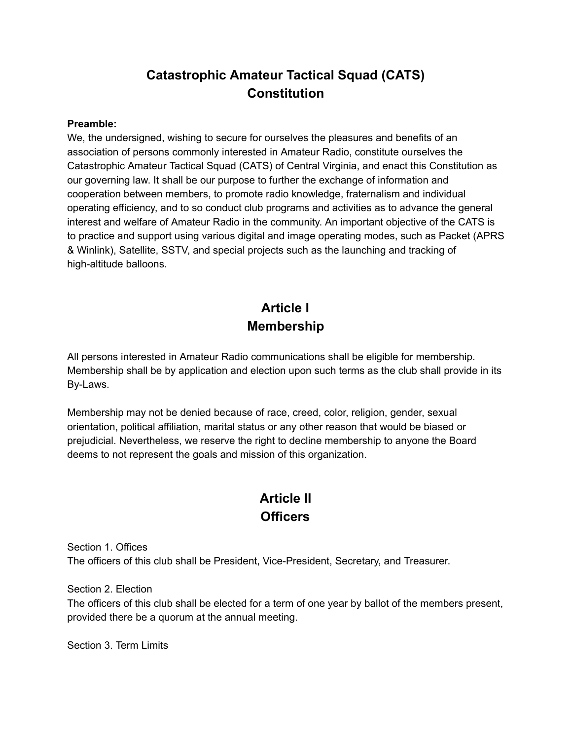## **Catastrophic Amateur Tactical Squad (CATS) Constitution**

#### **Preamble:**

We, the undersigned, wishing to secure for ourselves the pleasures and benefits of an association of persons commonly interested in Amateur Radio, constitute ourselves the Catastrophic Amateur Tactical Squad (CATS) of Central Virginia, and enact this Constitution as our governing law. It shall be our purpose to further the exchange of information and cooperation between members, to promote radio knowledge, fraternalism and individual operating efficiency, and to so conduct club programs and activities as to advance the general interest and welfare of Amateur Radio in the community. An important objective of the CATS is to practice and support using various digital and image operating modes, such as Packet (APRS & Winlink), Satellite, SSTV, and special projects such as the launching and tracking of high-altitude balloons.

# **Article I Membership**

All persons interested in Amateur Radio communications shall be eligible for membership. Membership shall be by application and election upon such terms as the club shall provide in its By-Laws.

Membership may not be denied because of race, creed, color, religion, gender, sexual orientation, political affiliation, marital status or any other reason that would be biased or prejudicial. Nevertheless, we reserve the right to decline membership to anyone the Board deems to not represent the goals and mission of this organization.

## **Article II Officers**

Section 1. Offices The officers of this club shall be President, Vice-President, Secretary, and Treasurer.

Section 2. Election

The officers of this club shall be elected for a term of one year by ballot of the members present, provided there be a quorum at the annual meeting.

Section 3. Term Limits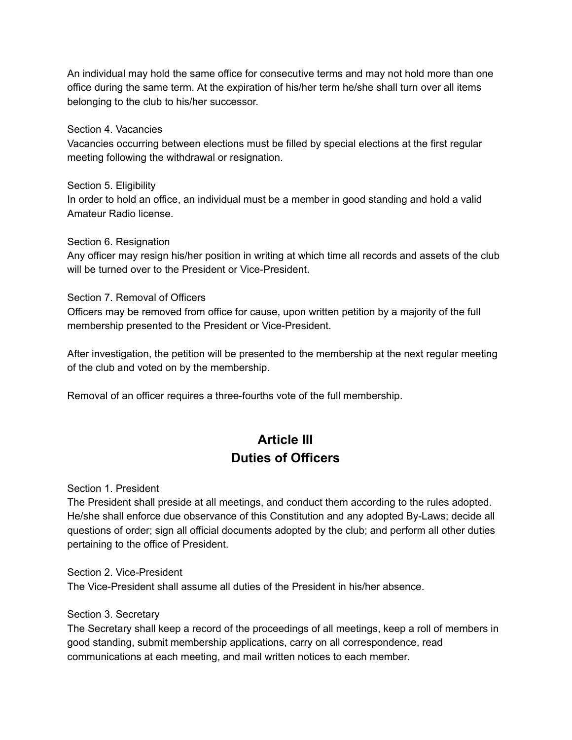An individual may hold the same office for consecutive terms and may not hold more than one office during the same term. At the expiration of his/her term he/she shall turn over all items belonging to the club to his/her successor.

Section 4. Vacancies

Vacancies occurring between elections must be filled by special elections at the first regular meeting following the withdrawal or resignation.

Section 5. Eligibility In order to hold an office, an individual must be a member in good standing and hold a valid Amateur Radio license.

Section 6. Resignation

Any officer may resign his/her position in writing at which time all records and assets of the club will be turned over to the President or Vice-President.

Section 7. Removal of Officers

Officers may be removed from office for cause, upon written petition by a majority of the full membership presented to the President or Vice-President.

After investigation, the petition will be presented to the membership at the next regular meeting of the club and voted on by the membership.

Removal of an officer requires a three-fourths vote of the full membership.

## **Article III Duties of Officers**

Section 1. President

The President shall preside at all meetings, and conduct them according to the rules adopted. He/she shall enforce due observance of this Constitution and any adopted By-Laws; decide all questions of order; sign all official documents adopted by the club; and perform all other duties pertaining to the office of President.

Section 2. Vice-President The Vice-President shall assume all duties of the President in his/her absence.

Section 3. Secretary

The Secretary shall keep a record of the proceedings of all meetings, keep a roll of members in good standing, submit membership applications, carry on all correspondence, read communications at each meeting, and mail written notices to each member.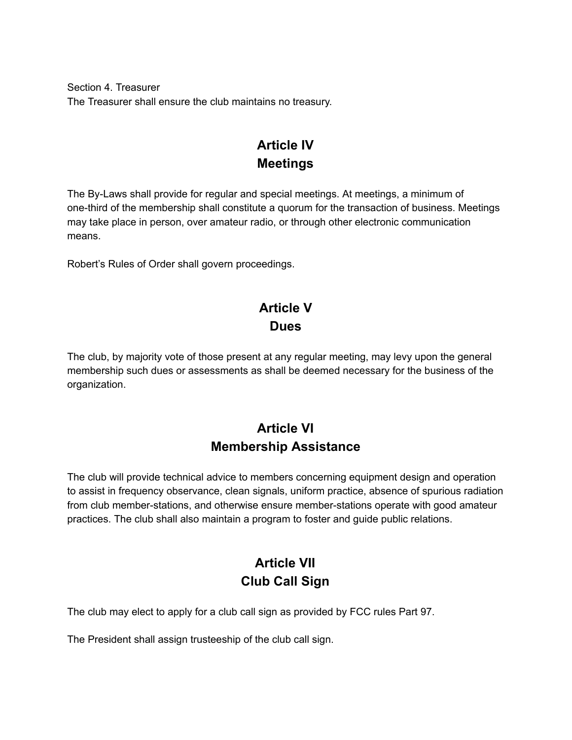Section 4. Treasurer The Treasurer shall ensure the club maintains no treasury.

## **Article IV Meetings**

The By-Laws shall provide for regular and special meetings. At meetings, a minimum of one-third of the membership shall constitute a quorum for the transaction of business. Meetings may take place in person, over amateur radio, or through other electronic communication means.

Robert's Rules of Order shall govern proceedings.

# **Article V Dues**

The club, by majority vote of those present at any regular meeting, may levy upon the general membership such dues or assessments as shall be deemed necessary for the business of the organization.

## **Article VI Membership Assistance**

The club will provide technical advice to members concerning equipment design and operation to assist in frequency observance, clean signals, uniform practice, absence of spurious radiation from club member-stations, and otherwise ensure member-stations operate with good amateur practices. The club shall also maintain a program to foster and guide public relations.

# **Article VII Club Call Sign**

The club may elect to apply for a club call sign as provided by FCC rules Part 97.

The President shall assign trusteeship of the club call sign.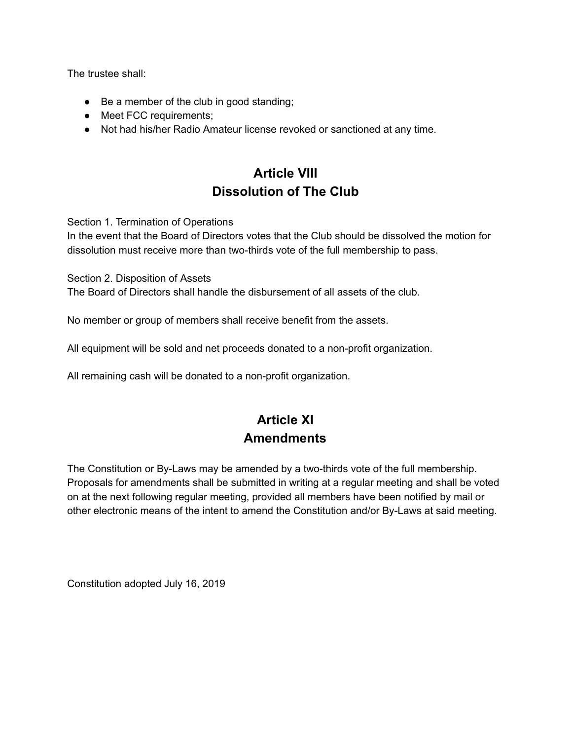The trustee shall:

- Be a member of the club in good standing;
- Meet FCC requirements;
- Not had his/her Radio Amateur license revoked or sanctioned at any time.

# **Article VIII Dissolution of The Club**

Section 1. Termination of Operations

In the event that the Board of Directors votes that the Club should be dissolved the motion for dissolution must receive more than two-thirds vote of the full membership to pass.

Section 2. Disposition of Assets

The Board of Directors shall handle the disbursement of all assets of the club.

No member or group of members shall receive benefit from the assets.

All equipment will be sold and net proceeds donated to a non-profit organization.

All remaining cash will be donated to a non-profit organization.

# **Article XI Amendments**

The Constitution or By-Laws may be amended by a two-thirds vote of the full membership. Proposals for amendments shall be submitted in writing at a regular meeting and shall be voted on at the next following regular meeting, provided all members have been notified by mail or other electronic means of the intent to amend the Constitution and/or By-Laws at said meeting.

Constitution adopted July 16, 2019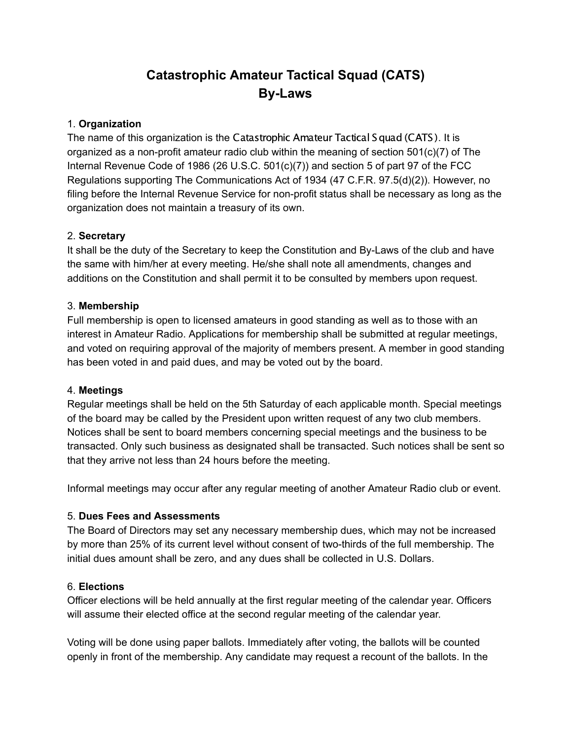# **Catastrophic Amateur Tactical Squad (CATS) By-Laws**

### 1. **Organization**

The name of this organization is the Catastrophic Amateur Tactical Squad (CATS). It is organized as a non-profit amateur radio club within the meaning of section  $501(c)(7)$  of The Internal Revenue Code of 1986 (26 U.S.C.  $501(c)(7)$ ) and section 5 of part 97 of the FCC Regulations supporting The Communications Act of 1934 (47 C.F.R. 97.5(d)(2)). However, no filing before the Internal Revenue Service for non-profit status shall be necessary as long as the organization does not maintain a treasury of its own.

### 2. **Secretary**

It shall be the duty of the Secretary to keep the Constitution and By-Laws of the club and have the same with him/her at every meeting. He/she shall note all amendments, changes and additions on the Constitution and shall permit it to be consulted by members upon request.

#### 3. **Membership**

Full membership is open to licensed amateurs in good standing as well as to those with an interest in Amateur Radio. Applications for membership shall be submitted at regular meetings, and voted on requiring approval of the majority of members present. A member in good standing has been voted in and paid dues, and may be voted out by the board.

#### 4. **Meetings**

Regular meetings shall be held on the 5th Saturday of each applicable month. Special meetings of the board may be called by the President upon written request of any two club members. Notices shall be sent to board members concerning special meetings and the business to be transacted. Only such business as designated shall be transacted. Such notices shall be sent so that they arrive not less than 24 hours before the meeting.

Informal meetings may occur after any regular meeting of another Amateur Radio club or event.

#### 5. **Dues Fees and Assessments**

The Board of Directors may set any necessary membership dues, which may not be increased by more than 25% of its current level without consent of two-thirds of the full membership. The initial dues amount shall be zero, and any dues shall be collected in U.S. Dollars.

#### 6. **Elections**

Officer elections will be held annually at the first regular meeting of the calendar year. Officers will assume their elected office at the second regular meeting of the calendar year.

Voting will be done using paper ballots. Immediately after voting, the ballots will be counted openly in front of the membership. Any candidate may request a recount of the ballots. In the